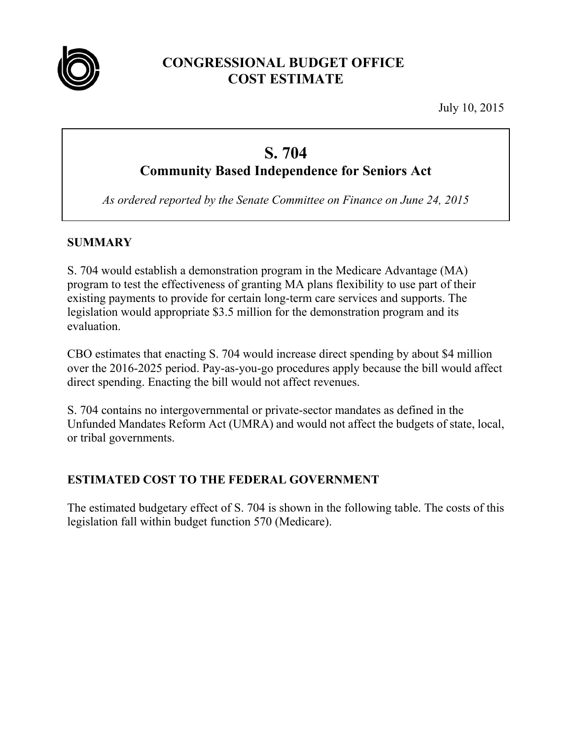

# **CONGRESSIONAL BUDGET OFFICE COST ESTIMATE**

July 10, 2015

# **S. 704 Community Based Independence for Seniors Act**

*As ordered reported by the Senate Committee on Finance on June 24, 2015* 

## **SUMMARY**

S. 704 would establish a demonstration program in the Medicare Advantage (MA) program to test the effectiveness of granting MA plans flexibility to use part of their existing payments to provide for certain long-term care services and supports. The legislation would appropriate \$3.5 million for the demonstration program and its evaluation.

CBO estimates that enacting S. 704 would increase direct spending by about \$4 million over the 2016-2025 period. Pay-as-you-go procedures apply because the bill would affect direct spending. Enacting the bill would not affect revenues.

S. 704 contains no intergovernmental or private-sector mandates as defined in the Unfunded Mandates Reform Act (UMRA) and would not affect the budgets of state, local, or tribal governments.

#### **ESTIMATED COST TO THE FEDERAL GOVERNMENT**

The estimated budgetary effect of S. 704 is shown in the following table. The costs of this legislation fall within budget function 570 (Medicare).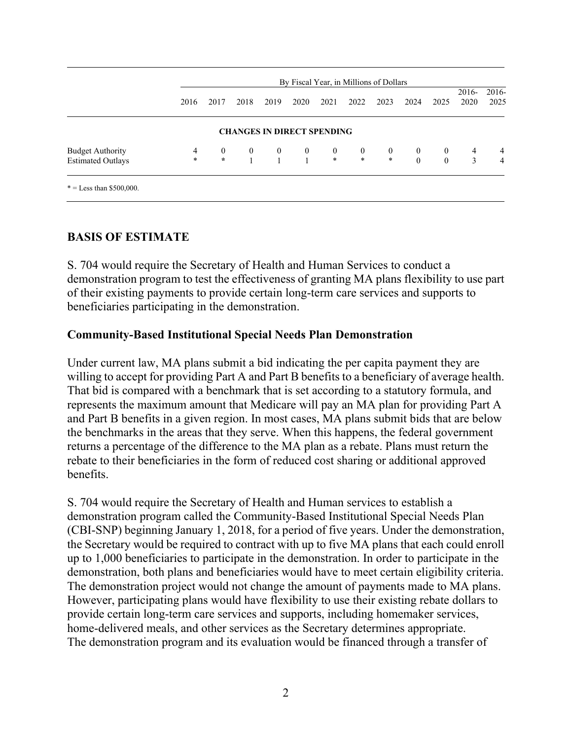|                          |                | By Fiscal Year, in Millions of Dollars |                                   |              |              |                  |                  |                  |              |              |                 |                 |
|--------------------------|----------------|----------------------------------------|-----------------------------------|--------------|--------------|------------------|------------------|------------------|--------------|--------------|-----------------|-----------------|
|                          | 2016           | 2017                                   | 2018                              | 2019         | 2020         | 2021             | 2022             | 2023             | 2024         | 2025         | $2016-$<br>2020 | $2016-$<br>2025 |
|                          |                |                                        | <b>CHANGES IN DIRECT SPENDING</b> |              |              |                  |                  |                  |              |              |                 |                 |
| <b>Budget Authority</b>  | $\overline{4}$ | $\overline{0}$                         | $\boldsymbol{0}$                  | $\mathbf{0}$ | $\bf{0}$     | $\boldsymbol{0}$ | $\boldsymbol{0}$ | $\boldsymbol{0}$ | $\mathbf{0}$ | $\bf{0}$     | 4               | $\overline{4}$  |
| <b>Estimated Outlays</b> | $\ast$         | $\star$                                | $\mathbf{1}$                      |              | $\mathbf{1}$ | $\ast$           | $\ast$           | $\ast$           | $\theta$     | $\mathbf{0}$ | 3               | $\overline{4}$  |

#### **BASIS OF ESTIMATE**

S. 704 would require the Secretary of Health and Human Services to conduct a demonstration program to test the effectiveness of granting MA plans flexibility to use part of their existing payments to provide certain long-term care services and supports to beneficiaries participating in the demonstration.

#### **Community-Based Institutional Special Needs Plan Demonstration**

Under current law, MA plans submit a bid indicating the per capita payment they are willing to accept for providing Part A and Part B benefits to a beneficiary of average health. That bid is compared with a benchmark that is set according to a statutory formula, and represents the maximum amount that Medicare will pay an MA plan for providing Part A and Part B benefits in a given region. In most cases, MA plans submit bids that are below the benchmarks in the areas that they serve. When this happens, the federal government returns a percentage of the difference to the MA plan as a rebate. Plans must return the rebate to their beneficiaries in the form of reduced cost sharing or additional approved benefits.

S. 704 would require the Secretary of Health and Human services to establish a demonstration program called the Community-Based Institutional Special Needs Plan (CBI-SNP) beginning January 1, 2018, for a period of five years. Under the demonstration, the Secretary would be required to contract with up to five MA plans that each could enroll up to 1,000 beneficiaries to participate in the demonstration. In order to participate in the demonstration, both plans and beneficiaries would have to meet certain eligibility criteria. The demonstration project would not change the amount of payments made to MA plans. However, participating plans would have flexibility to use their existing rebate dollars to provide certain long-term care services and supports, including homemaker services, home-delivered meals, and other services as the Secretary determines appropriate. The demonstration program and its evaluation would be financed through a transfer of